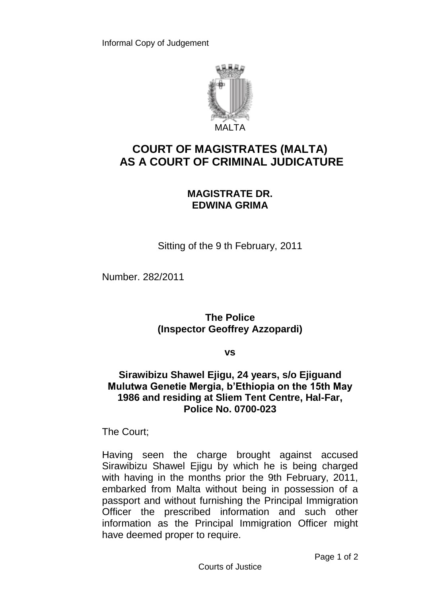

# **COURT OF MAGISTRATES (MALTA) AS A COURT OF CRIMINAL JUDICATURE**

## **MAGISTRATE DR. EDWINA GRIMA**

Sitting of the 9 th February, 2011

Number. 282/2011

## **The Police (Inspector Geoffrey Azzopardi)**

**vs**

### **Sirawibizu Shawel Ejigu, 24 years, s/o Ejiguand Mulutwa Genetie Mergia, b'Ethiopia on the 15th May 1986 and residing at Sliem Tent Centre, Hal-Far, Police No. 0700-023**

The Court;

Having seen the charge brought against accused Sirawibizu Shawel Ejigu by which he is being charged with having in the months prior the 9th February, 2011, embarked from Malta without being in possession of a passport and without furnishing the Principal Immigration Officer the prescribed information and such other information as the Principal Immigration Officer might have deemed proper to require.